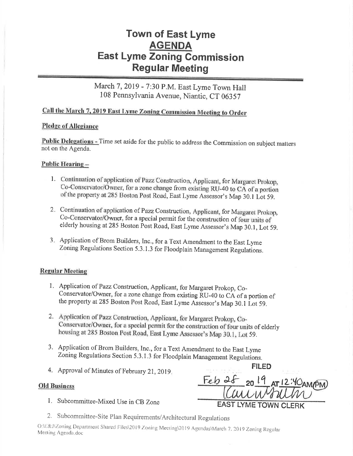# **Town of East Lyme AGENDA East Lyme Zoning Commission Regular Meeting**

# March 7, 2019 - 7:30 P.M. East Lyme Town Hall 108 Pennsylvania Avenue, Niantic, CT 06357

# Call the March 7, 2019 East Lyme Zoning Commission Meeting to Order

### **Pledge of Allegiance**

Public Delegations - Time set aside for the public to address the Commission on subject matters not on the Agenda.

### Public Hearing -

- 1. Continuation of application of Pazz Construction, Applicant, for Margaret Prokop, Co-Conservator/Owner, for a zone change from existing RU-40 to CA of a portion of the property at 285 Boston Post Road, East Lyme Assessor's Map 30.1 Lot 59.
- 2. Continuation of application of Pazz Construction, Applicant, for Margaret Prokop, Co-Conservator/Owner, for a special permit for the construction of four units of elderly housing at 285 Boston Post Road, East Lyme Assessor's Map 30.1, Lot 59.
- 3. Application of Brom Builders, Inc., for a Text Amendment to the East Lyme Zoning Regulations Section 5.3.1.3 for Floodplain Management Regulations.

## **Regular Meeting**

- 1. Application of Pazz Construction, Applicant, for Margaret Prokop, Co-Conservator/Owner, for a zone change from existing RU-40 to CA of a portion of the property at 285 Boston Post Road, East Lyme Assessor's Map 30.1 Lot 59.
- 2. Application of Pazz Construction, Applicant, for Margaret Prokop, Co-Conservator/Owner, for a special permit for the construction of four units of elderly housing at 285 Boston Post Road, East Lyme Assessor's Map 30.1, Lot 59.
- 3. Application of Brom Builders, Inc., for a Text Amendment to the East Lyme Zoning Regulations Section 5.3.1.3 for Floodplain Management Regulations.
- 4. Approval of Minutes of February 21, 2019.

### **Old Business**

1. Subcommittee-Mixed Use in CB Zone

| FII ED                      |
|-----------------------------|
| Feb 28 20 19 AT 12:40 AMPM  |
| aunswhite                   |
| <b>EAST LYME TOWN CLERK</b> |

2. Subcommittee-Site Plan Requirements/Architectural Regulations

O:\E&J\Zoning Department Shared Files\2019 Zoning Meeting\2019 Agendas\March 7, 2019 Zoning Regular Meeting Agenda.doc